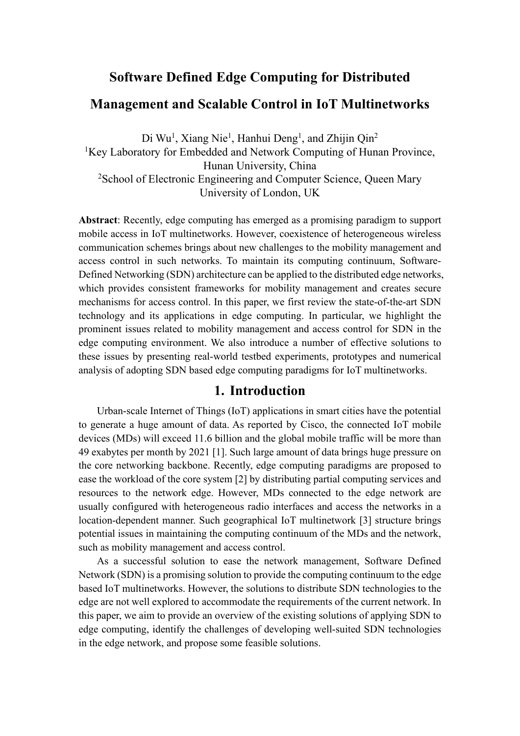# **Software Defined Edge Computing for Distributed Management and Scalable Control in IoT Multinetworks**

Di Wu<sup>1</sup>, Xiang Nie<sup>1</sup>, Hanhui Deng<sup>1</sup>, and Zhijin Qin<sup>2</sup> <sup>1</sup>Key Laboratory for Embedded and Network Computing of Hunan Province, Hunan University, China <sup>2</sup> School of Electronic Engineering and Computer Science, Queen Mary University of London, UK

**Abstract**: Recently, edge computing has emerged as a promising paradigm to support mobile access in IoT multinetworks. However, coexistence of heterogeneous wireless communication schemes brings about new challenges to the mobility management and access control in such networks. To maintain its computing continuum, Software-Defined Networking (SDN) architecture can be applied to the distributed edge networks, which provides consistent frameworks for mobility management and creates secure mechanisms for access control. In this paper, we first review the state-of-the-art SDN technology and its applications in edge computing. In particular, we highlight the prominent issues related to mobility management and access control for SDN in the edge computing environment. We also introduce a number of effective solutions to these issues by presenting real-world testbed experiments, prototypes and numerical analysis of adopting SDN based edge computing paradigms for IoT multinetworks.

## **1. Introduction**

Urban-scale Internet of Things (IoT) applications in smart cities have the potential to generate a huge amount of data. As reported by Cisco, the connected IoT mobile devices (MDs) will exceed 11.6 billion and the global mobile traffic will be more than 49 exabytes per month by 2021 [1]. Such large amount of data brings huge pressure on the core networking backbone. Recently, edge computing paradigms are proposed to ease the workload of the core system [2] by distributing partial computing services and resources to the network edge. However, MDs connected to the edge network are usually configured with heterogeneous radio interfaces and access the networks in a location-dependent manner. Such geographical IoT multinetwork [3] structure brings potential issues in maintaining the computing continuum of the MDs and the network, such as mobility management and access control.

As a successful solution to ease the network management, Software Defined Network (SDN) is a promising solution to provide the computing continuum to the edge based IoT multinetworks. However, the solutions to distribute SDN technologies to the edge are not well explored to accommodate the requirements of the current network. In this paper, we aim to provide an overview of the existing solutions of applying SDN to edge computing, identify the challenges of developing well-suited SDN technologies in the edge network, and propose some feasible solutions.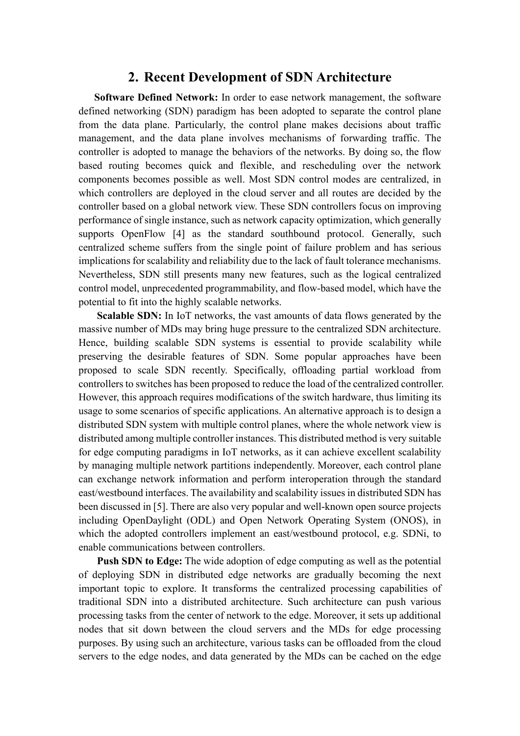## **2. Recent Development of SDN Architecture**

**Software Defined Network:** In order to ease network management, the software defined networking (SDN) paradigm has been adopted to separate the control plane from the data plane. Particularly, the control plane makes decisions about traffic management, and the data plane involves mechanisms of forwarding traffic. The controller is adopted to manage the behaviors of the networks. By doing so, the flow based routing becomes quick and flexible, and rescheduling over the network components becomes possible as well. Most SDN control modes are centralized, in which controllers are deployed in the cloud server and all routes are decided by the controller based on a global network view. These SDN controllers focus on improving performance of single instance, such as network capacity optimization, which generally supports OpenFlow [4] as the standard southbound protocol. Generally, such centralized scheme suffers from the single point of failure problem and has serious implications for scalability and reliability due to the lack of fault tolerance mechanisms. Nevertheless, SDN still presents many new features, such as the logical centralized control model, unprecedented programmability, and flow-based model, which have the potential to fit into the highly scalable networks.

**Scalable SDN:** In IoT networks, the vast amounts of data flows generated by the massive number of MDs may bring huge pressure to the centralized SDN architecture. Hence, building scalable SDN systems is essential to provide scalability while preserving the desirable features of SDN. Some popular approaches have been proposed to scale SDN recently. Specifically, offloading partial workload from controllers to switches has been proposed to reduce the load of the centralized controller. However, this approach requires modifications of the switch hardware, thus limiting its usage to some scenarios of specific applications. An alternative approach is to design a distributed SDN system with multiple control planes, where the whole network view is distributed among multiple controller instances. This distributed method is very suitable for edge computing paradigms in IoT networks, as it can achieve excellent scalability by managing multiple network partitions independently. Moreover, each control plane can exchange network information and perform interoperation through the standard east/westbound interfaces. The availability and scalability issues in distributed SDN has been discussed in [5]. There are also very popular and well-known open source projects including OpenDaylight (ODL) and Open Network Operating System (ONOS), in which the adopted controllers implement an east/westbound protocol, e.g. SDNi, to enable communications between controllers.

**Push SDN to Edge:** The wide adoption of edge computing as well as the potential of deploying SDN in distributed edge networks are gradually becoming the next important topic to explore. It transforms the centralized processing capabilities of traditional SDN into a distributed architecture. Such architecture can push various processing tasks from the center of network to the edge. Moreover, it sets up additional nodes that sit down between the cloud servers and the MDs for edge processing purposes. By using such an architecture, various tasks can be offloaded from the cloud servers to the edge nodes, and data generated by the MDs can be cached on the edge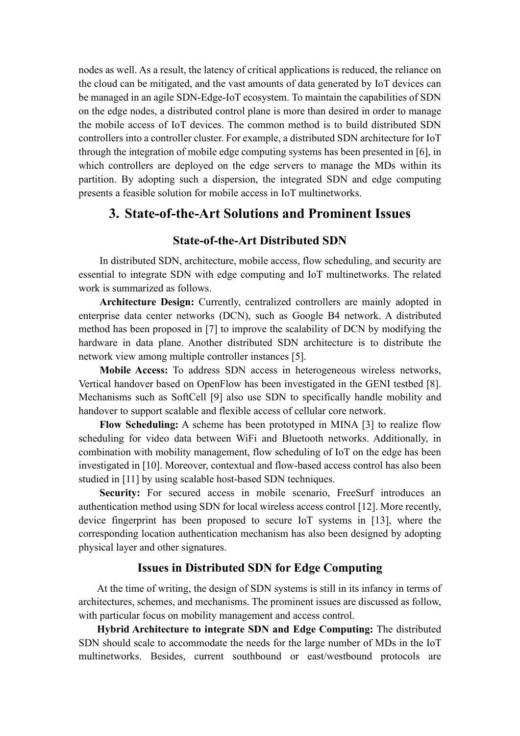nodes as well. As a result, the latency of critical applications is reduced, the reliance on the cloud can be mitigated, and the vast amounts of data generated by IoT devices can be managed in an agile SDN-Edge-IoT ecosystem. To maintain the capabilities of SDN on the edge nodes, a distributed control plane is more than desired in order to manage the mobile access of IoT devices. The common method is to build distributed SDN controllers into a controller cluster. For example, a distributed SDN architecture for IoT through the integration of mobile edge computing systems has been presented in [6], in which controllers are deployed on the edge servers to manage the MDs within its partition. By adopting such a dispersion, the integrated SDN and edge computing presents a feasible solution for mobile access in IoT multinetworks.

## **3. State-of-the-Art Solutions and Prominent Issues**

## **State-of-the-Art Distributed SDN**

In distributed SDN, architecture, mobile access, flow scheduling, and security are essential to integrate SDN with edge computing and IoT multinetworks. The related work is summarized as follows.

**Architecture Design:** Currently, centralized controllers are mainly adopted in enterprise data center networks (DCN), such as Google B4 network. A distributed method has been proposed in [7] to improve the scalability of DCN by modifying the hardware in data plane. Another distributed SDN architecture is to distribute the network view among multiple controller instances [5].

**Mobile Access:** To address SDN access in heterogeneous wireless networks, Vertical handover based on OpenFlow has been investigated in the GENI testbed [8]. Mechanisms such as SoftCell [9] also use SDN to specifically handle mobility and handover to support scalable and flexible access of cellular core network.

**Flow Scheduling:** A scheme has been prototyped in MINA [3] to realize flow scheduling for video data between WiFi and Bluetooth networks. Additionally, in combination with mobility management, flow scheduling of IoT on the edge has been investigated in [10]. Moreover, contextual and flow-based access control has also been studied in [11] by using scalable host-based SDN techniques.

**Security:** For secured access in mobile scenario, FreeSurf introduces an authentication method using SDN for local wireless access control [12]. More recently, device fingerprint has been proposed to secure IoT systems in [13], where the corresponding location authentication mechanism has also been designed by adopting physical layer and other signatures.

### **Issues in Distributed SDN for Edge Computing**

At the time of writing, the design of SDN systems is still in its infancy in terms of architectures, schemes, and mechanisms. The prominent issues are discussed as follow, with particular focus on mobility management and access control.

**Hybrid Architecture to integrate SDN and Edge Computing:** The distributed SDN should scale to accommodate the needs for the large number of MDs in the IoT multinetworks. Besides, current southbound or east/westbound protocols are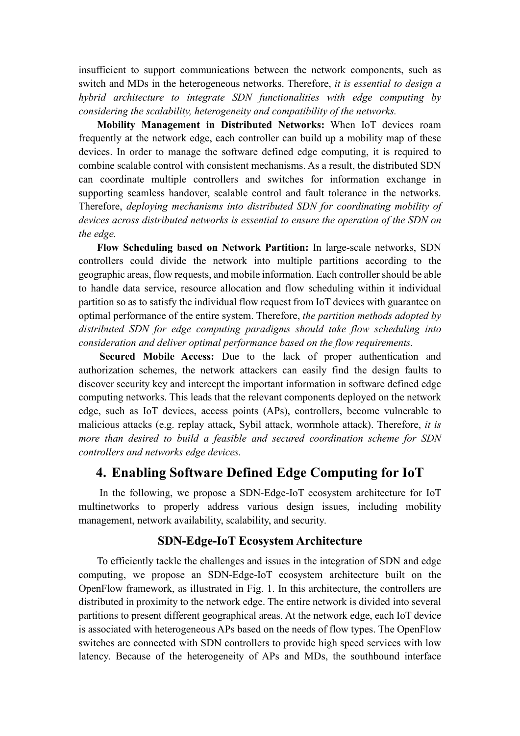insufficient to support communications between the network components, such as switch and MDs in the heterogeneous networks. Therefore, *it is essential to design a hybrid architecture to integrate SDN functionalities with edge computing by considering the scalability, heterogeneity and compatibility of the networks.*

**Mobility Management in Distributed Networks:** When IoT devices roam frequently at the network edge, each controller can build up a mobility map of these devices. In order to manage the software defined edge computing, it is required to combine scalable control with consistent mechanisms. As a result, the distributed SDN can coordinate multiple controllers and switches for information exchange in supporting seamless handover, scalable control and fault tolerance in the networks. Therefore, *deploying mechanisms into distributed SDN for coordinating mobility of devices across distributed networks is essential to ensure the operation of the SDN on the edge.* 

**Flow Scheduling based on Network Partition:** In large-scale networks, SDN controllers could divide the network into multiple partitions according to the geographic areas, flow requests, and mobile information. Each controller should be able to handle data service, resource allocation and flow scheduling within it individual partition so as to satisfy the individual flow request from IoT devices with guarantee on optimal performance of the entire system. Therefore, *the partition methods adopted by distributed SDN for edge computing paradigms should take flow scheduling into consideration and deliver optimal performance based on the flow requirements.*

**Secured Mobile Access:** Due to the lack of proper authentication and authorization schemes, the network attackers can easily find the design faults to discover security key and intercept the important information in software defined edge computing networks. This leads that the relevant components deployed on the network edge, such as IoT devices, access points (APs), controllers, become vulnerable to malicious attacks (e.g. replay attack, Sybil attack, wormhole attack). Therefore, *it is more than desired to build a feasible and secured coordination scheme for SDN controllers and networks edge devices.*

# **4. Enabling Software Defined Edge Computing for IoT**

 In the following, we propose a SDN-Edge-IoT ecosystem architecture for IoT multinetworks to properly address various design issues, including mobility management, network availability, scalability, and security.

## **SDN-Edge-IoT Ecosystem Architecture**

To efficiently tackle the challenges and issues in the integration of SDN and edge computing, we propose an SDN-Edge-IoT ecosystem architecture built on the OpenFlow framework, as illustrated in Fig. 1. In this architecture, the controllers are distributed in proximity to the network edge. The entire network is divided into several partitions to present different geographical areas. At the network edge, each IoT device is associated with heterogeneous APs based on the needs of flow types. The OpenFlow switches are connected with SDN controllers to provide high speed services with low latency. Because of the heterogeneity of APs and MDs, the southbound interface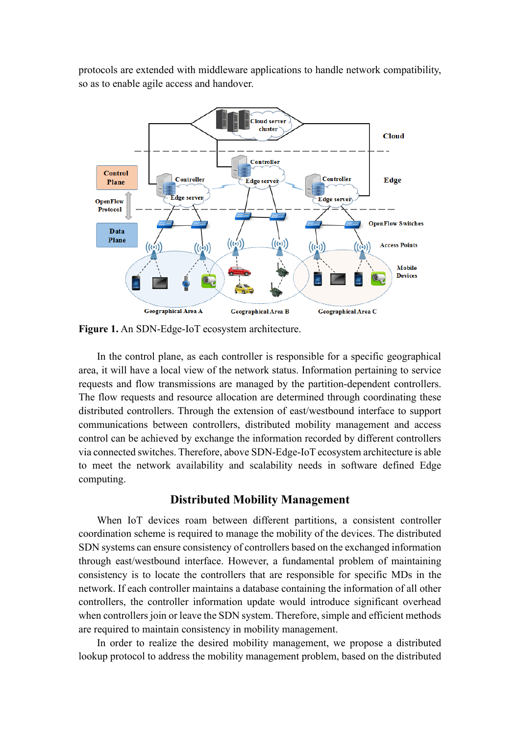protocols are extended with middleware applications to handle network compatibility, so as to enable agile access and handover.



**Figure 1.** An SDN-Edge-IoT ecosystem architecture.

In the control plane, as each controller is responsible for a specific geographical area, it will have a local view of the network status. Information pertaining to service requests and flow transmissions are managed by the partition-dependent controllers. The flow requests and resource allocation are determined through coordinating these distributed controllers. Through the extension of east/westbound interface to support communications between controllers, distributed mobility management and access control can be achieved by exchange the information recorded by different controllers via connected switches. Therefore, above SDN-Edge-IoT ecosystem architecture is able to meet the network availability and scalability needs in software defined Edge computing.

#### **Distributed Mobility Management**

When IoT devices roam between different partitions, a consistent controller coordination scheme is required to manage the mobility of the devices. The distributed SDN systems can ensure consistency of controllers based on the exchanged information through east/westbound interface. However, a fundamental problem of maintaining consistency is to locate the controllers that are responsible for specific MDs in the network. If each controller maintains a database containing the information of all other controllers, the controller information update would introduce significant overhead when controllers join or leave the SDN system. Therefore, simple and efficient methods are required to maintain consistency in mobility management.

In order to realize the desired mobility management, we propose a distributed lookup protocol to address the mobility management problem, based on the distributed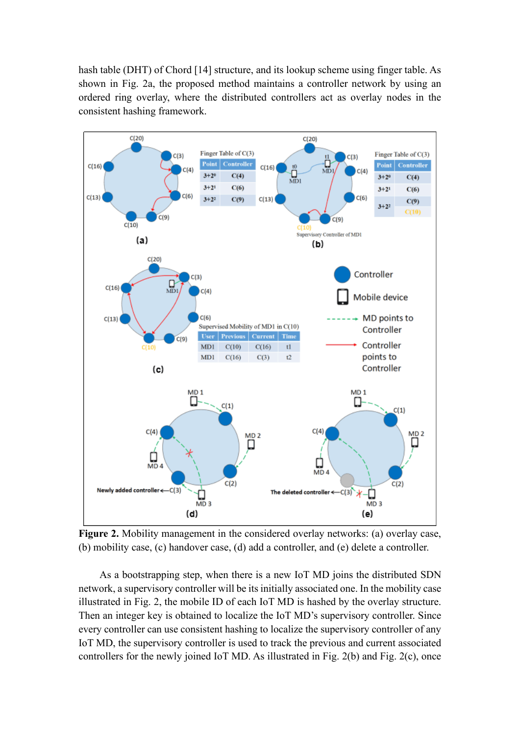hash table (DHT) of Chord [14] structure, and its lookup scheme using finger table. As shown in Fig. 2a, the proposed method maintains a controller network by using an ordered ring overlay, where the distributed controllers act as overlay nodes in the consistent hashing framework.



**Figure 2.** Mobility management in the considered overlay networks: (a) overlay case, (b) mobility case, (c) handover case, (d) add a controller, and (e) delete a controller.

As a bootstrapping step, when there is a new IoT MD joins the distributed SDN network, a supervisory controller will be its initially associated one. In the mobility case illustrated in Fig. 2, the mobile ID of each IoT MD is hashed by the overlay structure. Then an integer key is obtained to localize the IoT MD's supervisory controller. Since every controller can use consistent hashing to localize the supervisory controller of any IoT MD, the supervisory controller is used to track the previous and current associated controllers for the newly joined IoT MD. As illustrated in Fig. 2(b) and Fig. 2(c), once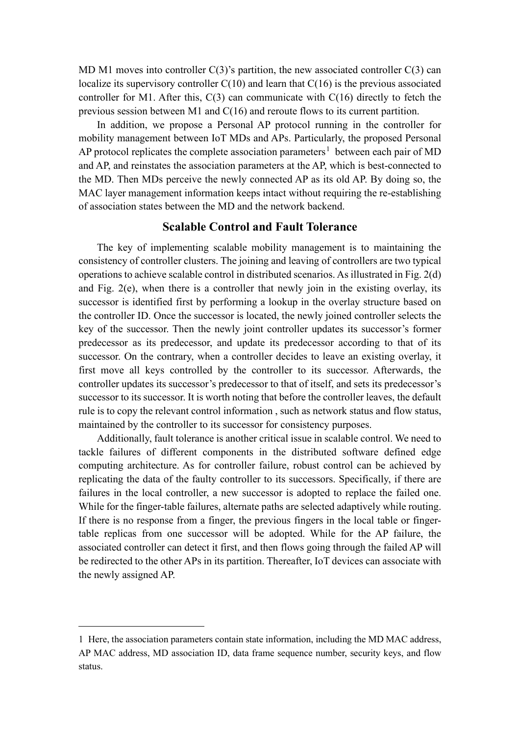MD M1 moves into controller  $C(3)$ 's partition, the new associated controller  $C(3)$  can localize its supervisory controller  $C(10)$  and learn that  $C(16)$  is the previous associated controller for M1. After this,  $C(3)$  can communicate with  $C(16)$  directly to fetch the previous session between M1 and C(16) and reroute flows to its current partition.

In addition, we propose a Personal AP protocol running in the controller for mobility management between IoT MDs and APs. Particularly, the proposed Personal AP protocol replicates the complete association parameters<sup>[1](#page-6-0)</sup> between each pair of MD and AP, and reinstates the association parameters at the AP, which is best-connected to the MD. Then MDs perceive the newly connected AP as its old AP. By doing so, the MAC layer management information keeps intact without requiring the re-establishing of association states between the MD and the network backend.

## **Scalable Control and Fault Tolerance**

The key of implementing scalable mobility management is to maintaining the consistency of controller clusters. The joining and leaving of controllers are two typical operations to achieve scalable control in distributed scenarios. As illustrated in Fig. 2(d) and Fig. 2(e), when there is a controller that newly join in the existing overlay, its successor is identified first by performing a lookup in the overlay structure based on the controller ID. Once the successor is located, the newly joined controller selects the key of the successor. Then the newly joint controller updates its successor's former predecessor as its predecessor, and update its predecessor according to that of its successor. On the contrary, when a controller decides to leave an existing overlay, it first move all keys controlled by the controller to its successor. Afterwards, the controller updates its successor's predecessor to that of itself, and sets its predecessor's successor to its successor. It is worth noting that before the controller leaves, the default rule is to copy the relevant control information , such as network status and flow status, maintained by the controller to its successor for consistency purposes.

Additionally, fault tolerance is another critical issue in scalable control. We need to tackle failures of different components in the distributed software defined edge computing architecture. As for controller failure, robust control can be achieved by replicating the data of the faulty controller to its successors. Specifically, if there are failures in the local controller, a new successor is adopted to replace the failed one. While for the finger-table failures, alternate paths are selected adaptively while routing. If there is no response from a finger, the previous fingers in the local table or fingertable replicas from one successor will be adopted. While for the AP failure, the associated controller can detect it first, and then flows going through the failed AP will be redirected to the other APs in its partition. Thereafter, IoT devices can associate with the newly assigned AP.

<span id="page-6-0"></span><sup>1</sup> Here, the association parameters contain state information, including the MD MAC address, AP MAC address, MD association ID, data frame sequence number, security keys, and flow status.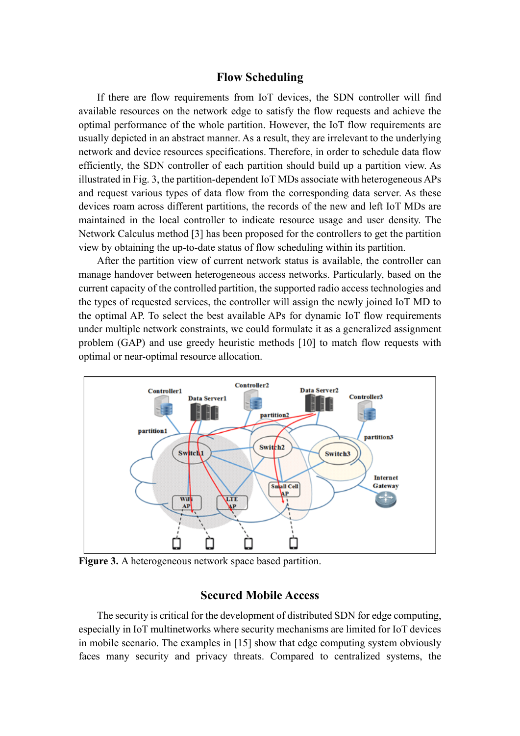#### **Flow Scheduling**

If there are flow requirements from IoT devices, the SDN controller will find available resources on the network edge to satisfy the flow requests and achieve the optimal performance of the whole partition. However, the IoT flow requirements are usually depicted in an abstract manner. As a result, they are irrelevant to the underlying network and device resources specifications. Therefore, in order to schedule data flow efficiently, the SDN controller of each partition should build up a partition view. As illustrated in Fig. 3, the partition-dependent IoT MDs associate with heterogeneous APs and request various types of data flow from the corresponding data server. As these devices roam across different partitions, the records of the new and left IoT MDs are maintained in the local controller to indicate resource usage and user density. The Network Calculus method [3] has been proposed for the controllers to get the partition view by obtaining the up-to-date status of flow scheduling within its partition.

After the partition view of current network status is available, the controller can manage handover between heterogeneous access networks. Particularly, based on the current capacity of the controlled partition, the supported radio access technologies and the types of requested services, the controller will assign the newly joined IoT MD to the optimal AP. To select the best available APs for dynamic IoT flow requirements under multiple network constraints, we could formulate it as a generalized assignment problem (GAP) and use greedy heuristic methods [10] to match flow requests with optimal or near-optimal resource allocation.



**Figure 3.** A heterogeneous network space based partition.

### **Secured Mobile Access**

The security is critical for the development of distributed SDN for edge computing, especially in IoT multinetworks where security mechanisms are limited for IoT devices in mobile scenario. The examples in [15] show that edge computing system obviously faces many security and privacy threats. Compared to centralized systems, the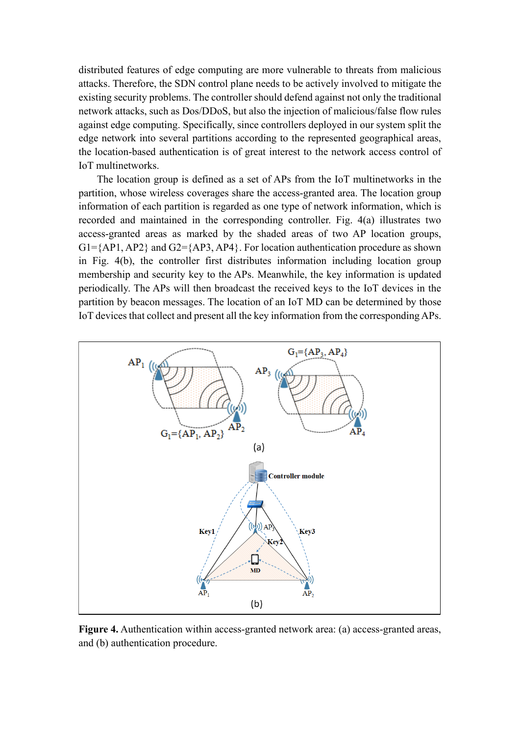distributed features of edge computing are more vulnerable to threats from malicious attacks. Therefore, the SDN control plane needs to be actively involved to mitigate the existing security problems. The controller should defend against not only the traditional network attacks, such as Dos/DDoS, but also the injection of malicious/false flow rules against edge computing. Specifically, since controllers deployed in our system split the edge network into several partitions according to the represented geographical areas, the location-based authentication is of great interest to the network access control of IoT multinetworks.

The location group is defined as a set of APs from the IoT multinetworks in the partition, whose wireless coverages share the access-granted area. The location group information of each partition is regarded as one type of network information, which is recorded and maintained in the corresponding controller. Fig. 4(a) illustrates two access-granted areas as marked by the shaded areas of two AP location groups,  $G1 = \{AP1, AP2\}$  and  $G2 = \{AP3, AP4\}$ . For location authentication procedure as shown in Fig. 4(b), the controller first distributes information including location group membership and security key to the APs. Meanwhile, the key information is updated periodically. The APs will then broadcast the received keys to the IoT devices in the partition by beacon messages. The location of an IoT MD can be determined by those IoT devices that collect and present all the key information from the corresponding APs.



**Figure 4.** Authentication within access-granted network area: (a) access-granted areas, and (b) authentication procedure.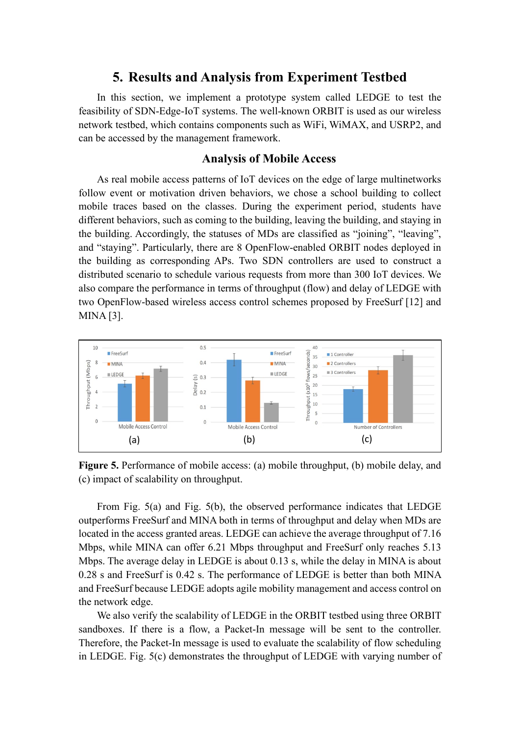# **5. Results and Analysis from Experiment Testbed**

In this section, we implement a prototype system called LEDGE to test the feasibility of SDN-Edge-IoT systems. The well-known ORBIT is used as our wireless network testbed, which contains components such as WiFi, WiMAX, and USRP2, and can be accessed by the management framework.

## **Analysis of Mobile Access**

As real mobile access patterns of IoT devices on the edge of large multinetworks follow event or motivation driven behaviors, we chose a school building to collect mobile traces based on the classes. During the experiment period, students have different behaviors, such as coming to the building, leaving the building, and staying in the building. Accordingly, the statuses of MDs are classified as "joining", "leaving", and "staying". Particularly, there are 8 OpenFlow-enabled ORBIT nodes deployed in the building as corresponding APs. Two SDN controllers are used to construct a distributed scenario to schedule various requests from more than 300 IoT devices. We also compare the performance in terms of throughput (flow) and delay of LEDGE with two OpenFlow-based wireless access control schemes proposed by FreeSurf [12] and MINA [3].



**Figure 5.** Performance of mobile access: (a) mobile throughput, (b) mobile delay, and (c) impact of scalability on throughput.

From Fig. 5(a) and Fig. 5(b), the observed performance indicates that LEDGE outperforms FreeSurf and MINA both in terms of throughput and delay when MDs are located in the access granted areas. LEDGE can achieve the average throughput of 7.16 Mbps, while MINA can offer 6.21 Mbps throughput and FreeSurf only reaches 5.13 Mbps. The average delay in LEDGE is about 0.13 s, while the delay in MINA is about 0.28 s and FreeSurf is 0.42 s. The performance of LEDGE is better than both MINA and FreeSurf because LEDGE adopts agile mobility management and access control on the network edge.

We also verify the scalability of LEDGE in the ORBIT testbed using three ORBIT sandboxes. If there is a flow, a Packet-In message will be sent to the controller. Therefore, the Packet-In message is used to evaluate the scalability of flow scheduling in LEDGE. Fig. 5(c) demonstrates the throughput of LEDGE with varying number of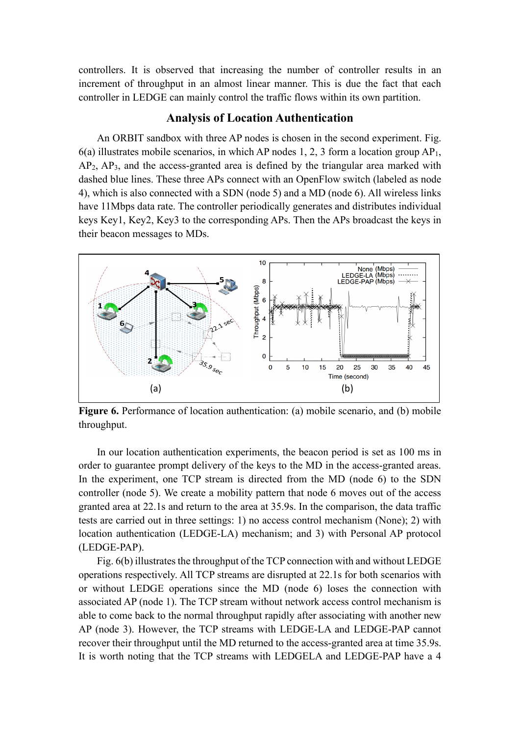controllers. It is observed that increasing the number of controller results in an increment of throughput in an almost linear manner. This is due the fact that each controller in LEDGE can mainly control the traffic flows within its own partition.

#### **Analysis of Location Authentication**

An ORBIT sandbox with three AP nodes is chosen in the second experiment. Fig.  $6(a)$  illustrates mobile scenarios, in which AP nodes 1, 2, 3 form a location group AP<sub>1</sub>, AP2, AP3, and the access-granted area is defined by the triangular area marked with dashed blue lines. These three APs connect with an OpenFlow switch (labeled as node 4), which is also connected with a SDN (node 5) and a MD (node 6). All wireless links have 11Mbps data rate. The controller periodically generates and distributes individual keys Key1, Key2, Key3 to the corresponding APs. Then the APs broadcast the keys in their beacon messages to MDs.



**Figure 6.** Performance of location authentication: (a) mobile scenario, and (b) mobile throughput.

In our location authentication experiments, the beacon period is set as 100 ms in order to guarantee prompt delivery of the keys to the MD in the access-granted areas. In the experiment, one TCP stream is directed from the MD (node 6) to the SDN controller (node 5). We create a mobility pattern that node 6 moves out of the access granted area at 22.1s and return to the area at 35.9s. In the comparison, the data traffic tests are carried out in three settings: 1) no access control mechanism (None); 2) with location authentication (LEDGE-LA) mechanism; and 3) with Personal AP protocol (LEDGE-PAP).

Fig. 6(b) illustrates the throughput of the TCP connection with and without LEDGE operations respectively. All TCP streams are disrupted at 22.1s for both scenarios with or without LEDGE operations since the MD (node 6) loses the connection with associated AP (node 1). The TCP stream without network access control mechanism is able to come back to the normal throughput rapidly after associating with another new AP (node 3). However, the TCP streams with LEDGE-LA and LEDGE-PAP cannot recover their throughput until the MD returned to the access-granted area at time 35.9s. It is worth noting that the TCP streams with LEDGELA and LEDGE-PAP have a 4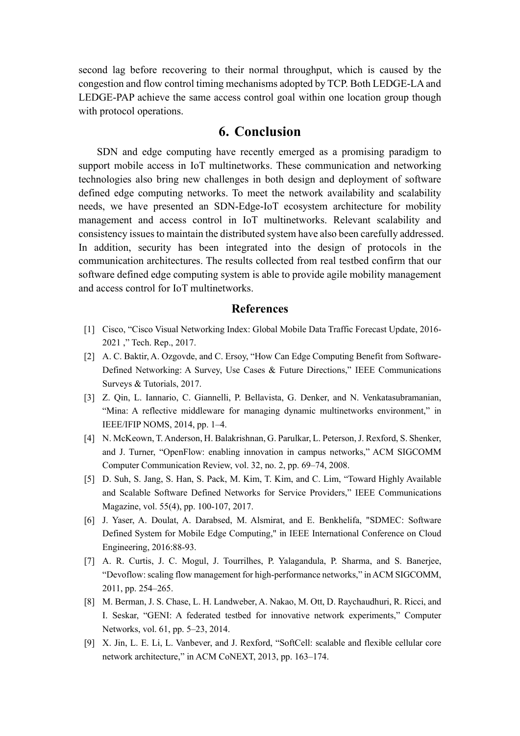second lag before recovering to their normal throughput, which is caused by the congestion and flow control timing mechanisms adopted by TCP. Both LEDGE-LA and LEDGE-PAP achieve the same access control goal within one location group though with protocol operations.

# **6. Conclusion**

SDN and edge computing have recently emerged as a promising paradigm to support mobile access in IoT multinetworks. These communication and networking technologies also bring new challenges in both design and deployment of software defined edge computing networks. To meet the network availability and scalability needs, we have presented an SDN-Edge-IoT ecosystem architecture for mobility management and access control in IoT multinetworks. Relevant scalability and consistency issues to maintain the distributed system have also been carefully addressed. In addition, security has been integrated into the design of protocols in the communication architectures. The results collected from real testbed confirm that our software defined edge computing system is able to provide agile mobility management and access control for IoT multinetworks.

#### **References**

- [1] Cisco, "Cisco Visual Networking Index: Global Mobile Data Traffic Forecast Update, 2016- 2021 ," Tech. Rep., 2017.
- [2] A. C. Baktir, A. Ozgovde, and C. Ersoy, "How Can Edge Computing Benefit from Software-Defined Networking: A Survey, Use Cases & Future Directions," IEEE Communications Surveys & Tutorials, 2017.
- [3] Z. Qin, L. Iannario, C. Giannelli, P. Bellavista, G. Denker, and N. Venkatasubramanian, "Mina: A reflective middleware for managing dynamic multinetworks environment," in IEEE/IFIP NOMS, 2014, pp. 1–4.
- [4] N. McKeown, T. Anderson, H. Balakrishnan, G. Parulkar, L. Peterson, J. Rexford, S. Shenker, and J. Turner, "OpenFlow: enabling innovation in campus networks," ACM SIGCOMM Computer Communication Review, vol. 32, no. 2, pp. 69–74, 2008.
- [5] D. Suh, S. Jang, S. Han, S. Pack, M. Kim, T. Kim, and C. Lim, "Toward Highly Available and Scalable Software Defined Networks for Service Providers," IEEE Communications Magazine, vol. 55(4), pp. 100-107, 2017.
- [6] J. Yaser, A. Doulat, A. Darabsed, M. Alsmirat, and E. Benkhelifa, "SDMEC: Software Defined System for Mobile Edge Computing," in IEEE International Conference on Cloud Engineering, 2016:88-93.
- [7] A. R. Curtis, J. C. Mogul, J. Tourrilhes, P. Yalagandula, P. Sharma, and S. Banerjee, "Devoflow: scaling flow management for high-performance networks," in ACM SIGCOMM, 2011, pp. 254–265.
- [8] M. Berman, J. S. Chase, L. H. Landweber, A. Nakao, M. Ott, D. Raychaudhuri, R. Ricci, and I. Seskar, "GENI: A federated testbed for innovative network experiments," Computer Networks, vol. 61, pp. 5–23, 2014.
- [9] X. Jin, L. E. Li, L. Vanbever, and J. Rexford, "SoftCell: scalable and flexible cellular core network architecture," in ACM CoNEXT, 2013, pp. 163–174.